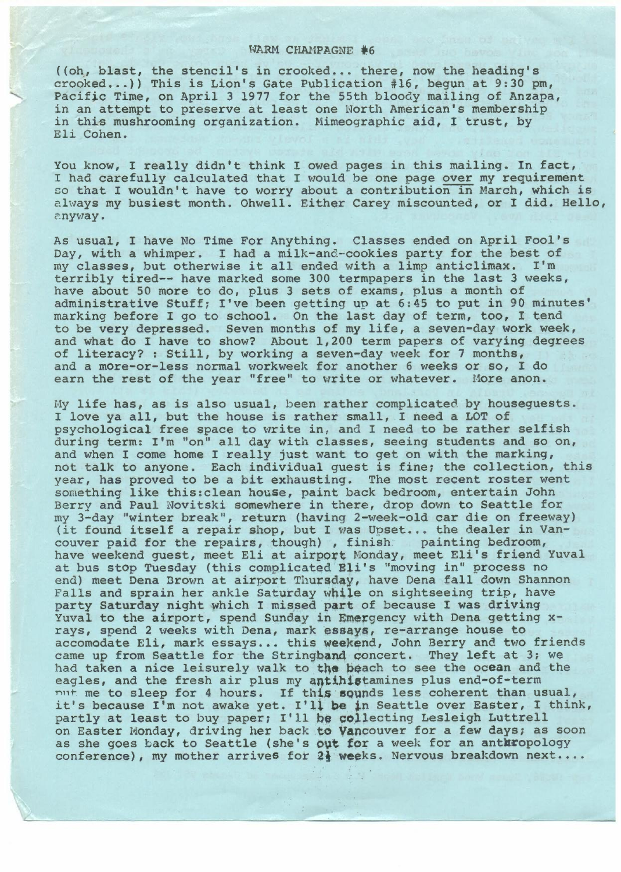## WARM CHAMPAGNE  $#6$

( (oh, blast, the stencil's in crooked ... there, now the heading's crooked...)) This is Lion's Gate Publication #16, begun at 9:30 pm, Pacific Time, on April 3 1977 for the 55th bloody mailing of Anzapa, in an attempt to preserve at least one North American's membership in this mushrooming organization. Mimeographic aid, I trust, by Eli Cohen.

You know, I really didn't think I owed pages in this mailing. In fact, I had carefully calculated that I would be one page over my requirement so that I wouldn't have to worry about a contribution in March, which is clways my busiest month. Ohwell. Either Carey miscounted, or I did. Hello, ?.nyway.

As usual, I have No Time For Anything. Classes ended on April Fool's Day, with a whimper. I had a milk-and-cookies party for the best of my classes, but otherwise it all ended with a limp anticlimax. I'm terribly tired-- have marked some 300 termpapers in the last 3 weeks, have about 50 more to do, plus 3 sets of exams, plus a month of administrative Stuff; I've been getting up at 6:45 to put in 90 minutes' marking before I go to school. On the last day of term, too, I tend to be very depressed. Seven months of my life, a seven-day work week, and what do I have to show? About 1,200 term papers of varying degrees of literacy? : Still, by working a seven-day week for 7 months, and a more-or-less normal workweek for another 6 weeks or so, I do earn the rest of the year "free" to write or whatever. More anon.

My life has, as is also usual, been rather complicated by houseguests. I love ya all, but the house is rather small, I need a LOT of psychological free space to write in, and I need to be rather selfish during term: I'm "on" all day with classes, seeing students and so on, and when I come home I really just want to get on with the marking, not talk to anyone. Each individual guest is fine; the collection, this year, has proved to be a bit exhausting. The most recent roster went something like this:clean house, paint back bedroom, entertain John Berry and Paul Novitski somewhere in there, drop down to Seattle for beily and radi Novitski somewhele in theie, drop down to seattle for<br>my 3-day "winter break", return (having 2-week-old car die on freeway) (it found itself a repair shop, but I was Upset... the dealer in Vancouver paid for the repairs, though), finish painting bedroom, have weekend guest, meet Eli at airport Monday, meet Eli's friend Yuval at bus stop Tuesday (this complicated Eli's "moving in" process no end) meet Dena Brown at airport Thursday, have Dena fall down Shannon Falls and sprain her ankle Saturday while on sightseeing trip, have party Saturday night which I missed part of because I was driving Yuval to the airport, spend Sunday in Emergency with Dena getting xrays, spend 2 weeks with Dena, mark essay\$, re-arrange house to accomodate Eli, mark essays... this weekend, John Berry and two friends came up from Seattle for the Stringband concert. They left at 3; we had taken a nice leisurely walk to the beach to see the ocean and the eagles, and the fresh air plus my antihistamines plus end-of-term nut me to sleep for 4 hours. If this sounds less coherent than usual, it's because I'm not awake yet. I'll be in Seattle over Easter, I think, partly at least to buy paper; I'll be collecting Lesleigh Luttrell on Easter Monday, driving her back to Vancouver for a few days; as soon as she goes back to Seattle (she's out for a week for an anthropology conference), my mother arrives for 2} weeks. Nervous breakdown next..